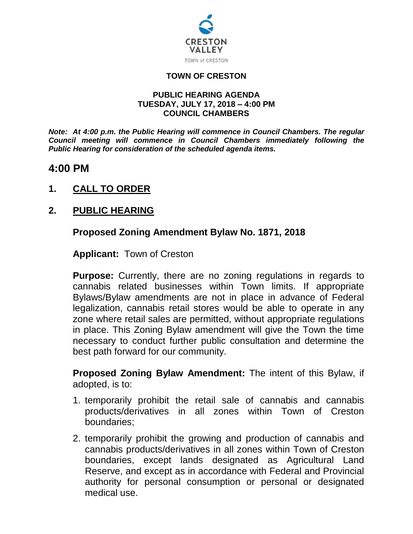

### **TOWN OF CRESTON**

#### **PUBLIC HEARING AGENDA TUESDAY, JULY 17, 2018 – 4:00 PM COUNCIL CHAMBERS**

*Note: At 4:00 p.m. the Public Hearing will commence in Council Chambers. The regular Council meeting will commence in Council Chambers immediately following the Public Hearing for consideration of the scheduled agenda items.*

## **4:00 PM**

**1. CALL TO ORDER**

## **2. PUBLIC HEARING**

## **Proposed Zoning Amendment Bylaw No. 1871, 2018**

**Applicant:** Town of Creston

**Purpose:** Currently, there are no zoning regulations in regards to cannabis related businesses within Town limits. If appropriate Bylaws/Bylaw amendments are not in place in advance of Federal legalization, cannabis retail stores would be able to operate in any zone where retail sales are permitted, without appropriate regulations in place. This Zoning Bylaw amendment will give the Town the time necessary to conduct further public consultation and determine the best path forward for our community.

**Proposed Zoning Bylaw Amendment:** The intent of this Bylaw, if adopted, is to:

- 1. temporarily prohibit the retail sale of cannabis and cannabis products/derivatives in all zones within Town of Creston boundaries;
- 2. temporarily prohibit the growing and production of cannabis and cannabis products/derivatives in all zones within Town of Creston boundaries, except lands designated as Agricultural Land Reserve, and except as in accordance with Federal and Provincial authority for personal consumption or personal or designated medical use.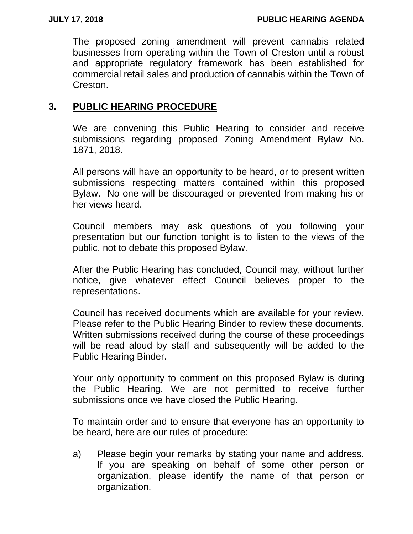The proposed zoning amendment will prevent cannabis related businesses from operating within the Town of Creston until a robust and appropriate regulatory framework has been established for commercial retail sales and production of cannabis within the Town of Creston.

## **3. PUBLIC HEARING PROCEDURE**

We are convening this Public Hearing to consider and receive submissions regarding proposed Zoning Amendment Bylaw No. 1871, 2018**.**

All persons will have an opportunity to be heard, or to present written submissions respecting matters contained within this proposed Bylaw. No one will be discouraged or prevented from making his or her views heard.

Council members may ask questions of you following your presentation but our function tonight is to listen to the views of the public, not to debate this proposed Bylaw.

After the Public Hearing has concluded, Council may, without further notice, give whatever effect Council believes proper to the representations.

Council has received documents which are available for your review. Please refer to the Public Hearing Binder to review these documents. Written submissions received during the course of these proceedings will be read aloud by staff and subsequently will be added to the Public Hearing Binder.

Your only opportunity to comment on this proposed Bylaw is during the Public Hearing. We are not permitted to receive further submissions once we have closed the Public Hearing.

To maintain order and to ensure that everyone has an opportunity to be heard, here are our rules of procedure:

a) Please begin your remarks by stating your name and address. If you are speaking on behalf of some other person or organization, please identify the name of that person or organization.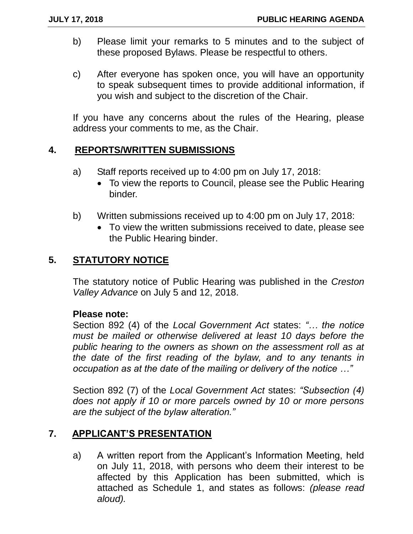- b) Please limit your remarks to 5 minutes and to the subject of these proposed Bylaws. Please be respectful to others.
- c) After everyone has spoken once, you will have an opportunity to speak subsequent times to provide additional information, if you wish and subject to the discretion of the Chair.

If you have any concerns about the rules of the Hearing, please address your comments to me, as the Chair.

## **4. REPORTS/WRITTEN SUBMISSIONS**

- a) Staff reports received up to 4:00 pm on July 17, 2018:
	- To view the reports to Council, please see the Public Hearing binder.
- b) Written submissions received up to 4:00 pm on July 17, 2018:
	- To view the written submissions received to date, please see the Public Hearing binder.

### **5. STATUTORY NOTICE**

The statutory notice of Public Hearing was published in the *Creston Valley Advance* on July 5 and 12, 2018.

### **Please note:**

Section 892 (4) of the *Local Government Act* states: *"… the notice must be mailed or otherwise delivered at least 10 days before the public hearing to the owners as shown on the assessment roll as at the date of the first reading of the bylaw, and to any tenants in occupation as at the date of the mailing or delivery of the notice …"*

Section 892 (7) of the *Local Government Act* states: *"Subsection (4) does not apply if 10 or more parcels owned by 10 or more persons are the subject of the bylaw alteration."* 

### **7. APPLICANT'S PRESENTATION**

a) A written report from the Applicant's Information Meeting, held on July 11, 2018, with persons who deem their interest to be affected by this Application has been submitted, which is attached as Schedule 1, and states as follows: *(please read aloud).*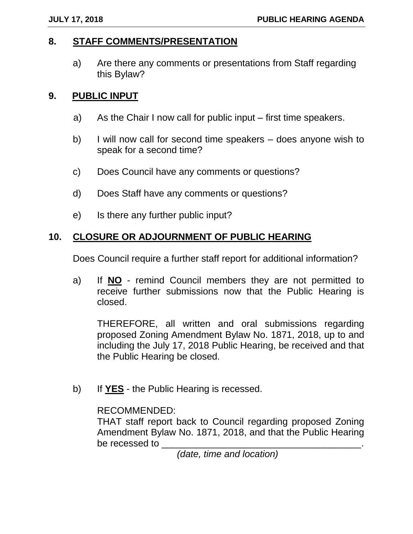## **8. STAFF COMMENTS/PRESENTATION**

a) Are there any comments or presentations from Staff regarding this Bylaw?

## **9. PUBLIC INPUT**

- a) As the Chair I now call for public input first time speakers.
- b) I will now call for second time speakers does anyone wish to speak for a second time?
- c) Does Council have any comments or questions?
- d) Does Staff have any comments or questions?
- e) Is there any further public input?

## **10. CLOSURE OR ADJOURNMENT OF PUBLIC HEARING**

Does Council require a further staff report for additional information?

a) If **NO** - remind Council members they are not permitted to receive further submissions now that the Public Hearing is closed.

THEREFORE, all written and oral submissions regarding proposed Zoning Amendment Bylaw No. 1871, 2018, up to and including the July 17, 2018 Public Hearing, be received and that the Public Hearing be closed.

b) If **YES** - the Public Hearing is recessed.

### RECOMMENDED:

THAT staff report back to Council regarding proposed Zoning Amendment Bylaw No. 1871, 2018, and that the Public Hearing be recessed to

 *(date, time and location)*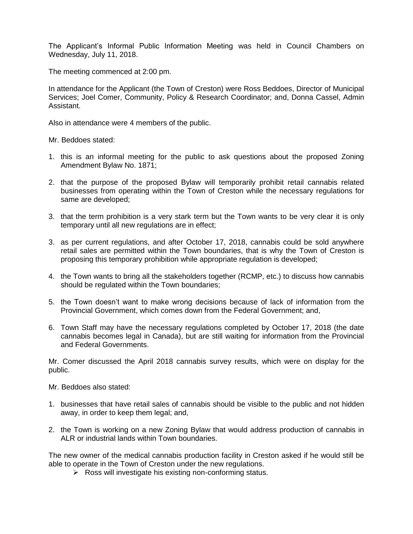The Applicant's Informal Public Information Meeting was held in Council Chambers on Wednesday, July 11, 2018.

The meeting commenced at 2:00 pm.

In attendance for the Applicant (the Town of Creston) were Ross Beddoes, Director of Municipal Services; Joel Comer, Community, Policy & Research Coordinator; and, Donna Cassel, Admin Assistant.

Also in attendance were 4 members of the public.

Mr. Beddoes stated:

- 1. this is an informal meeting for the public to ask questions about the proposed Zoning Amendment Bylaw No. 1871;
- 2. that the purpose of the proposed Bylaw will temporarily prohibit retail cannabis related businesses from operating within the Town of Creston while the necessary regulations for same are developed;
- 3. that the term prohibition is a very stark term but the Town wants to be very clear it is only temporary until all new regulations are in effect;
- 3. as per current regulations, and after October 17, 2018, cannabis could be sold anywhere retail sales are permitted within the Town boundaries, that is why the Town of Creston is proposing this temporary prohibition while appropriate regulation is developed;
- 4. the Town wants to bring all the stakeholders together (RCMP, etc.) to discuss how cannabis should be regulated within the Town boundaries;
- 5. the Town doesn't want to make wrong decisions because of lack of information from the Provincial Government, which comes down from the Federal Government; and,
- 6. Town Staff may have the necessary regulations completed by October 17, 2018 (the date cannabis becomes legal in Canada), but are still waiting for information from the Provincial and Federal Governments.

Mr. Comer discussed the April 2018 cannabis survey results, which were on display for the public.

Mr. Beddoes also stated:

- 1. businesses that have retail sales of cannabis should be visible to the public and not hidden away, in order to keep them legal; and,
- 2. the Town is working on a new Zoning Bylaw that would address production of cannabis in ALR or industrial lands within Town boundaries.

The new owner of the medical cannabis production facility in Creston asked if he would still be able to operate in the Town of Creston under the new regulations.

 $\triangleright$  Ross will investigate his existing non-conforming status.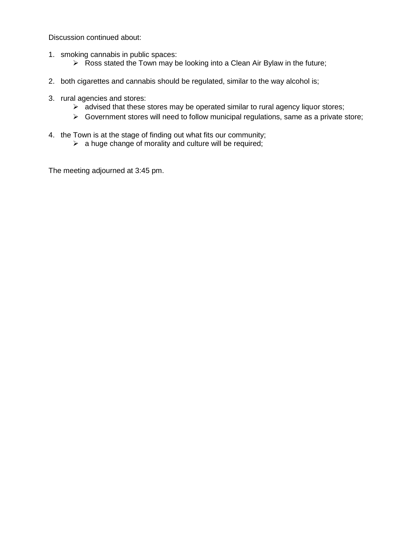Discussion continued about:

- 1. smoking cannabis in public spaces:
	- $\triangleright$  Ross stated the Town may be looking into a Clean Air Bylaw in the future;
- 2. both cigarettes and cannabis should be regulated, similar to the way alcohol is;
- 3. rural agencies and stores:
	- $\triangleright$  advised that these stores may be operated similar to rural agency liquor stores;
	- $\triangleright$  Government stores will need to follow municipal regulations, same as a private store;
- 4. the Town is at the stage of finding out what fits our community;
	- $\triangleright$  a huge change of morality and culture will be required;

The meeting adjourned at 3:45 pm.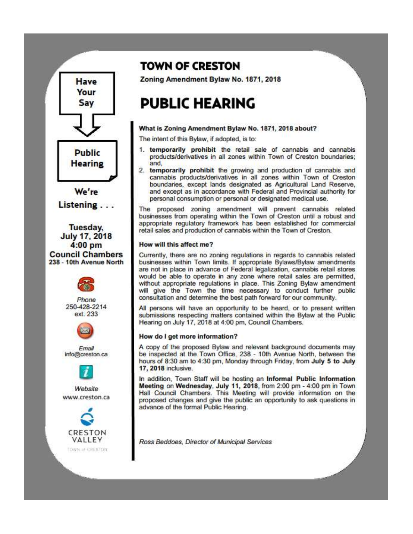

VALLEY

TOWN or GRESTON

## **TOWN OF CRESTON**

Zoning Amendment Bylaw No. 1871, 2018

# **PUBLIC HEARING**

#### What is Zoning Amendment Bylaw No. 1871, 2018 about?

The intent of this Bylaw, if adopted, is to:

- 1. temporarily prohibit the retail sale of cannabis and cannabis products/derivatives in all zones within Town of Creston boundaries; and.
- 2. temporarily prohibit the growing and production of cannabis and cannabis products/derivatives in all zones within Town of Creston boundaries, except lands designated as Agricultural Land Reserve, and except as in accordance with Federal and Provincial authority for personal consumption or personal or designated medical use.

The proposed zoning amendment will prevent cannabis related businesses from operating within the Town of Creston until a robust and appropriate regulatory framework has been established for commercial retail sales and production of cannabis within the Town of Creston.

#### How will this affect me?

Currently, there are no zoning regulations in regards to cannabis related businesses within Town limits. If appropriate Bylaws/Bylaw amendments are not in place in advance of Federal legalization, cannabis retail stores would be able to operate in any zone where retail sales are permitted, without appropriate regulations in place. This Zoning Bylaw amendment will give the Town the time necessary to conduct further public consultation and determine the best path forward for our community.

All persons will have an opportunity to be heard, or to present written submissions respecting matters contained within the Bylaw at the Public Hearing on July 17, 2018 at 4:00 pm, Council Chambers.

#### How do I get more information?

A copy of the proposed Bylaw and relevant background documents may be inspected at the Town Office, 238 - 10th Avenue North, between the hours of 8:30 am to 4:30 pm. Monday through Friday, from July 5 to July 17, 2018 inclusive.

In addition, Town Staff will be hosting an Informal Public Information Meeting on Wednesday, July 11, 2018, from 2:00 pm - 4:00 pm in Town. Hall Council Chambers. This Meeting will provide information on the proposed changes and give the public an opportunity to ask questions in advance of the formal Public Hearing.

Ross Beddoes, Director of Municipal Services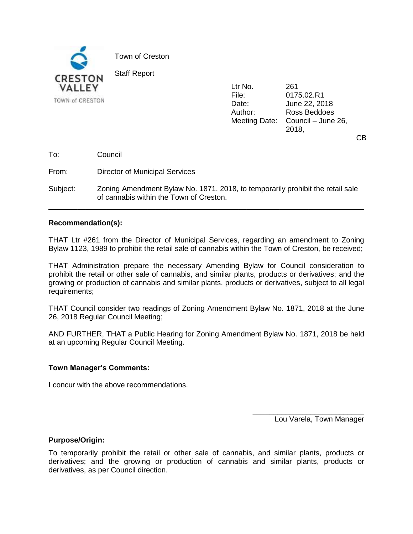

Ltr No. 261 File: 0175.02.R1 Date: June 22, 2018 Author: Ross Beddoes Meeting Date: Council – June 26, 2018,

CB

To: Council

From: Director of Municipal Services

Subject: Zoning Amendment Bylaw No. 1871, 2018, to temporarily prohibit the retail sale of cannabis within the Town of Creston.

\_\_\_\_\_\_\_\_\_\_\_\_\_\_\_\_\_\_\_\_\_\_\_\_\_\_\_\_\_\_\_\_\_\_\_\_\_\_\_\_\_\_\_\_\_\_\_\_\_\_\_\_\_\_\_\_\_\_\_\_\_\_\_\_

#### **Recommendation(s):**

THAT Ltr #261 from the Director of Municipal Services, regarding an amendment to Zoning Bylaw 1123, 1989 to prohibit the retail sale of cannabis within the Town of Creston, be received;

THAT Administration prepare the necessary Amending Bylaw for Council consideration to prohibit the retail or other sale of cannabis, and similar plants, products or derivatives; and the growing or production of cannabis and similar plants, products or derivatives, subject to all legal requirements;

THAT Council consider two readings of Zoning Amendment Bylaw No. 1871, 2018 at the June 26, 2018 Regular Council Meeting;

AND FURTHER, THAT a Public Hearing for Zoning Amendment Bylaw No. 1871, 2018 be held at an upcoming Regular Council Meeting.

#### **Town Manager's Comments:**

I concur with the above recommendations.

\_\_\_\_\_\_\_\_\_\_\_\_\_\_\_\_\_\_\_\_\_\_\_\_\_\_\_ Lou Varela, Town Manager

#### **Purpose/Origin:**

To temporarily prohibit the retail or other sale of cannabis, and similar plants, products or derivatives; and the growing or production of cannabis and similar plants, products or derivatives, as per Council direction.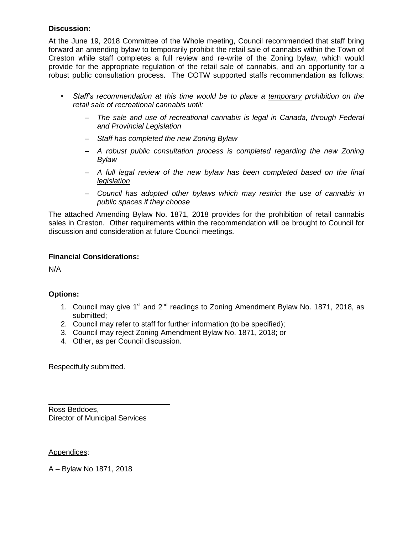#### **Discussion:**

At the June 19, 2018 Committee of the Whole meeting, Council recommended that staff bring forward an amending bylaw to temporarily prohibit the retail sale of cannabis within the Town of Creston while staff completes a full review and re-write of the Zoning bylaw, which would provide for the appropriate regulation of the retail sale of cannabis, and an opportunity for a robust public consultation process. The COTW supported staffs recommendation as follows:

- *Staff's recommendation at this time would be to place a temporary prohibition on the retail sale of recreational cannabis until:*
	- *The sale and use of recreational cannabis is legal in Canada, through Federal and Provincial Legislation*
	- *Staff has completed the new Zoning Bylaw*
	- *A robust public consultation process is completed regarding the new Zoning Bylaw*
	- *A full legal review of the new bylaw has been completed based on the final legislation*
	- *Council has adopted other bylaws which may restrict the use of cannabis in public spaces if they choose*

The attached Amending Bylaw No. 1871, 2018 provides for the prohibition of retail cannabis sales in Creston. Other requirements within the recommendation will be brought to Council for discussion and consideration at future Council meetings.

#### **Financial Considerations:**

N/A

#### **Options:**

- 1. Council may give  $1^{st}$  and  $2^{nd}$  readings to Zoning Amendment Bylaw No. 1871, 2018, as submitted;
- 2. Council may refer to staff for further information (to be specified);
- 3. Council may reject Zoning Amendment Bylaw No. 1871, 2018; or
- 4. Other, as per Council discussion.

Respectfully submitted.

Ross Beddoes, Director of Municipal Services

Appendices:

A – Bylaw No 1871, 2018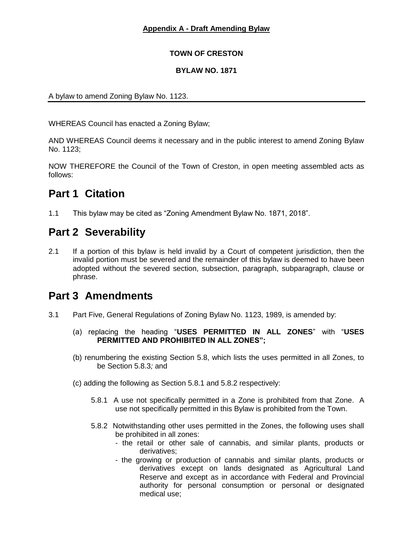#### **Appendix A - Draft Amending Bylaw**

#### **TOWN OF CRESTON**

#### **BYLAW NO. 1871**

A bylaw to amend Zoning Bylaw No. 1123.

WHEREAS Council has enacted a Zoning Bylaw;

AND WHEREAS Council deems it necessary and in the public interest to amend Zoning Bylaw No. 1123;

NOW THEREFORE the Council of the Town of Creston, in open meeting assembled acts as follows:

## **Part 1 Citation**

1.1 This bylaw may be cited as "Zoning Amendment Bylaw No. 1871, 2018".

## **Part 2 Severability**

2.1 If a portion of this bylaw is held invalid by a Court of competent jurisdiction, then the invalid portion must be severed and the remainder of this bylaw is deemed to have been adopted without the severed section, subsection, paragraph, subparagraph, clause or phrase.

## **Part 3 Amendments**

- 3.1 Part Five, General Regulations of Zoning Bylaw No. 1123, 1989, is amended by:
	- (a) replacing the heading "**USES PERMITTED IN ALL ZONES**" with "**USES PERMITTED AND PROHIBITED IN ALL ZONES";**
	- (b) renumbering the existing Section 5.8, which lists the uses permitted in all Zones, to be Section 5.8.3*;* and
	- (c) adding the following as Section 5.8.1 and 5.8.2 respectively:
		- 5.8.1 A use not specifically permitted in a Zone is prohibited from that Zone. A use not specifically permitted in this Bylaw is prohibited from the Town.
		- 5.8.2 Notwithstanding other uses permitted in the Zones, the following uses shall be prohibited in all zones:
			- the retail or other sale of cannabis, and similar plants, products or derivatives;
			- the growing or production of cannabis and similar plants, products or derivatives except on lands designated as Agricultural Land Reserve and except as in accordance with Federal and Provincial authority for personal consumption or personal or designated medical use;